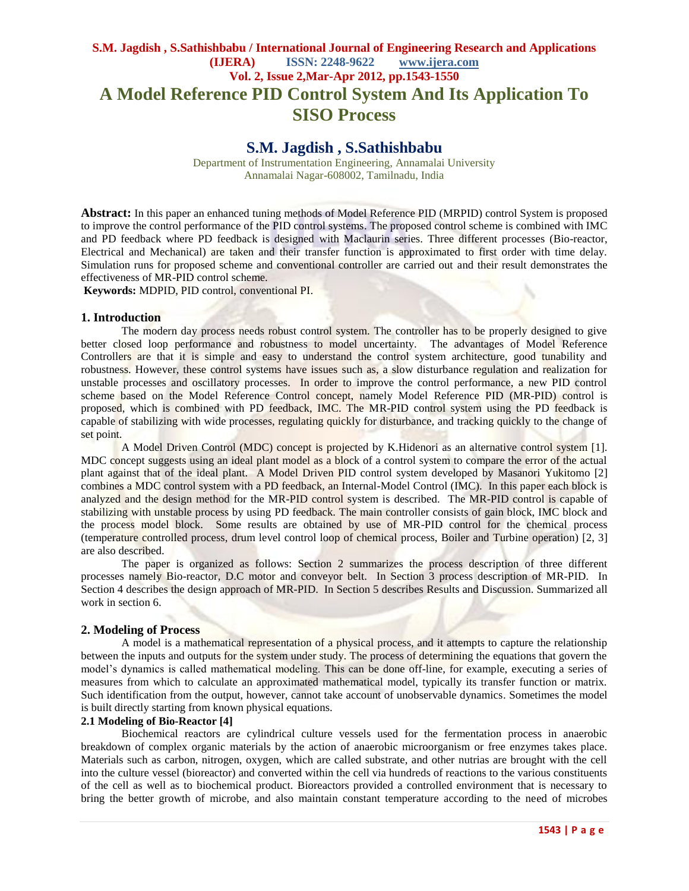# **S.M. Jagdish , S.Sathishbabu / International Journal of Engineering Research and Applications (IJERA) ISSN: 2248-9622 www.ijera.com Vol. 2, Issue 2,Mar-Apr 2012, pp.1543-1550 A Model Reference PID Control System And Its Application To SISO Process**

# **S.M. Jagdish , S.Sathishbabu**

Department of Instrumentation Engineering, Annamalai University Annamalai Nagar-608002, Tamilnadu, India

**Abstract:** In this paper an enhanced tuning methods of Model Reference PID (MRPID) control System is proposed to improve the control performance of the PID control systems. The proposed control scheme is combined with IMC and PD feedback where PD feedback is designed with Maclaurin series. Three different processes (Bio-reactor, Electrical and Mechanical) are taken and their transfer function is approximated to first order with time delay. Simulation runs for proposed scheme and conventional controller are carried out and their result demonstrates the effectiveness of MR-PID control scheme.

**Keywords:** MDPID, PID control, conventional PI.

#### **1. Introduction**

The modern day process needs robust control system. The controller has to be properly designed to give better closed loop performance and robustness to model uncertainty. The advantages of Model Reference Controllers are that it is simple and easy to understand the control system architecture, good tunability and robustness. However, these control systems have issues such as, a slow disturbance regulation and realization for unstable processes and oscillatory processes. In order to improve the control performance, a new PID control scheme based on the Model Reference Control concept, namely Model Reference PID (MR-PID) control is proposed, which is combined with PD feedback, IMC. The MR-PID control system using the PD feedback is capable of stabilizing with wide processes, regulating quickly for disturbance, and tracking quickly to the change of set point.

A Model Driven Control (MDC) concept is projected by K.Hidenori as an alternative control system [1]. MDC concept suggests using an ideal plant model as a block of a control system to compare the error of the actual plant against that of the ideal plant. A Model Driven PID control system developed by Masanori Yukitomo [2] combines a MDC control system with a PD feedback, an Internal-Model Control (IMC). In this paper each block is analyzed and the design method for the MR-PID control system is described. The MR-PID control is capable of stabilizing with unstable process by using PD feedback. The main controller consists of gain block, IMC block and the process model block. Some results are obtained by use of MR-PID control for the chemical process (temperature controlled process, drum level control loop of chemical process, Boiler and Turbine operation) [2, 3] are also described.

The paper is organized as follows: Section 2 summarizes the process description of three different processes namely Bio-reactor, D.C motor and conveyor belt. In Section 3 process description of MR-PID. In Section 4 describes the design approach of MR-PID. In Section 5 describes Results and Discussion. Summarized all work in section 6.

#### **2. Modeling of Process**

A model is a mathematical representation of a physical process, and it attempts to capture the relationship between the inputs and outputs for the system under study. The process of determining the equations that govern the model's dynamics is called mathematical modeling. This can be done off-line, for example, executing a series of measures from which to calculate an approximated mathematical model, typically its transfer function or matrix. Such identification from the output, however, cannot take account of unobservable dynamics. Sometimes the model is built directly starting from known physical equations.

## **2.1 Modeling of Bio-Reactor [4]**

Biochemical reactors are cylindrical culture vessels used for the fermentation process in anaerobic breakdown of complex organic materials by the action of anaerobic microorganism or free enzymes takes place. Materials such as carbon, nitrogen, oxygen, which are called substrate, and other nutrias are brought with the cell into the culture vessel (bioreactor) and converted within the cell via hundreds of reactions to the various constituents of the cell as well as to biochemical product. Bioreactors provided a controlled environment that is necessary to bring the better growth of microbe, and also maintain constant temperature according to the need of microbes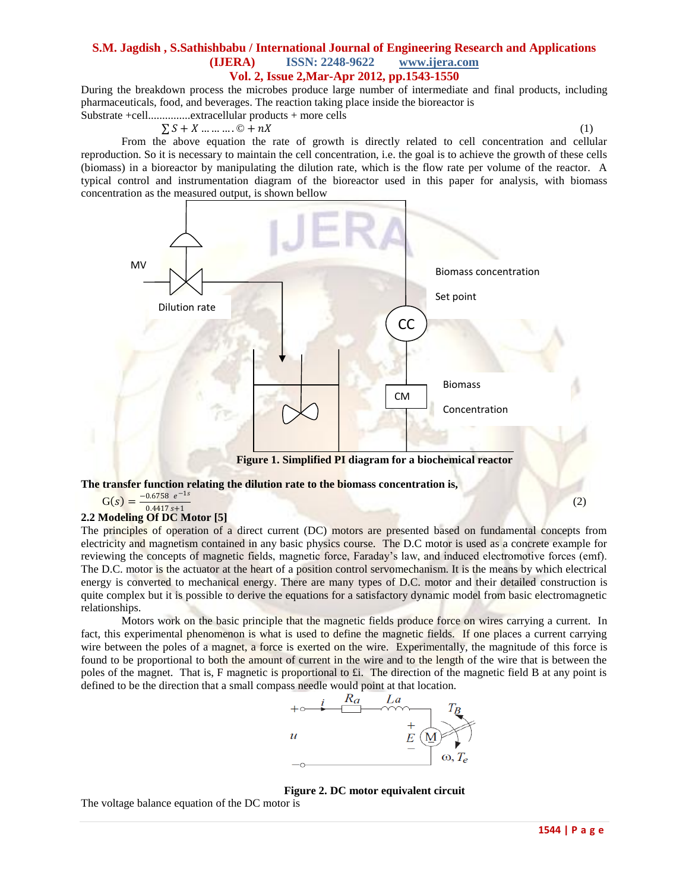During the breakdown process the microbes produce large number of intermediate and final products, including pharmaceuticals, food, and beverages. The reaction taking place inside the bioreactor is Substrate +cell...............extracellular products + more cells

## $\sum S + X \dots \dots \dots \dots \dots \dots \dots \dots \dots$  (1)

From the above equation the rate of growth is directly related to cell concentration and cellular reproduction. So it is necessary to maintain the cell concentration, i.e. the goal is to achieve the growth of these cells (biomass) in a bioreactor by manipulating the dilution rate, which is the flow rate per volume of the reactor. A typical control and instrumentation diagram of the bioreactor used in this paper for analysis, with biomass concentration as the measured output, is shown bellow



 $G(s) = \frac{-0.6758 e^{-1s}}{0.4417 \times 11}$ 

#### $0.4417 s + 1$ **2.2 Modeling Of DC Motor [5]**

The principles of operation of a direct current (DC) motors are presented based on fundamental concepts from electricity and magnetism contained in any basic physics course. The D.C motor is used as a concrete example for reviewing the concepts of magnetic fields, magnetic force, Faraday's law, and induced electromotive forces (emf). The D.C. motor is the actuator at the heart of a position control servomechanism. It is the means by which electrical energy is converted to mechanical energy. There are many types of D.C. motor and their detailed construction is quite complex but it is possible to derive the equations for a satisfactory dynamic model from basic electromagnetic relationships.

Motors work on the basic principle that the magnetic fields produce force on wires carrying a current. In fact, this experimental phenomenon is what is used to define the magnetic fields. If one places a current carrying wire between the poles of a magnet, a force is exerted on the wire. Experimentally, the magnitude of this force is found to be proportional to both the amount of current in the wire and to the length of the wire that is between the poles of the magnet. That is, F magnetic is proportional to £i. The direction of the magnetic field B at any point is defined to be the direction that a small compass needle would point at that location.



#### **Figure 2. DC motor equivalent circuit**

The voltage balance equation of the DC motor is

(2)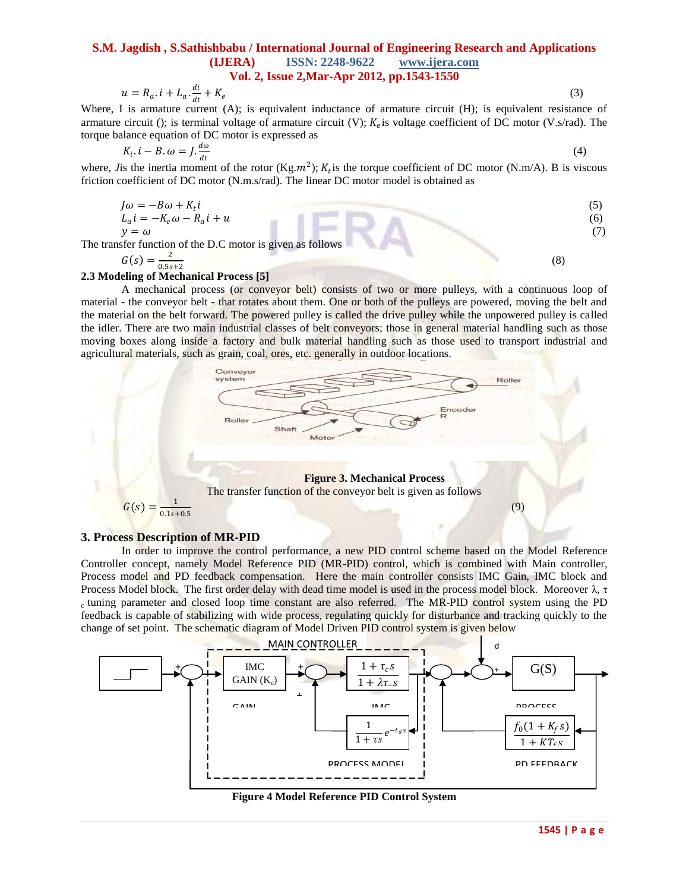$$
u = R_a \tcdot i + L_a \tcdot \frac{di}{dt} + K_e \t\t(3)
$$

Where, I is armature current (A); is equivalent inductance of armature circuit (H); is equivalent resistance of armature circuit (); is terminal voltage of armature circuit (V);  $K_e$  is voltage coefficient of DC motor (V.s/rad). The torque balance equation of DC motor is expressed as

$$
K_i \tcdot i - B \tcdot \omega = J \tcdot \frac{d\omega}{dt} \t\t(4)
$$

where, *J* is the inertia moment of the rotor (Kg. $m^2$ );  $K_t$  is the torque coefficient of DC motor (N.m/A). B is viscous friction coefficient of DC motor (N.m.s/rad). The linear DC motor model is obtained as

$$
J\omega = -B\omega + K_t i
$$
  
\n
$$
L_a i = -K_e \omega - R_a i + u
$$
  
\n
$$
y = \omega
$$
  
\n(5)

The transfer function of the D.C motor is given as follows

$$
G(s) = \frac{2}{0.5s+2}
$$

(8)

#### **2.3 Modeling of Mechanical Process [5]**

A mechanical process (or conveyor belt) consists of two or more [pulleys,](http://en.wikipedia.org/wiki/Pulley) with a continuous loop of material - the conveyor belt - that rotates about them. One or both of the pulleys are powered, moving the belt and the material on the belt forward. The powered pulley is called the drive pulley while the unpowered pulley is called the idler. There are two main industrial classes of belt conveyors; those in general [material handling](http://en.wikipedia.org/wiki/Material_handling) such as those moving boxes along inside a factory and [bulk material handling](http://en.wikipedia.org/wiki/Bulk_material_handling) such as those used to transport industrial and agricultural materials, such as grain, coal, ores, etc. generally in outdoor locations.



#### **3. Process Description of MR-PID**

In order to improve the control performance, a new PID control scheme based on the Model Reference Controller concept, namely Model Reference PID (MR-PID) control, which is combined with Main controller, Process model and PD feedback compensation. Here the main controller consists IMC Gain, IMC block and Process Model block. The first order delay with dead time model is used in the process model block. Moreover  $λ$ , τ <sup>c</sup>tuning parameter and closed loop time constant are also referred. The MR-PID control system using the PD feedback is capable of stabilizing with wide process, regulating quickly for disturbance and tracking quickly to the change of set point. The schematic diagram of Model Driven PID control system is given below



**Figure 4 Model Reference PID Control System**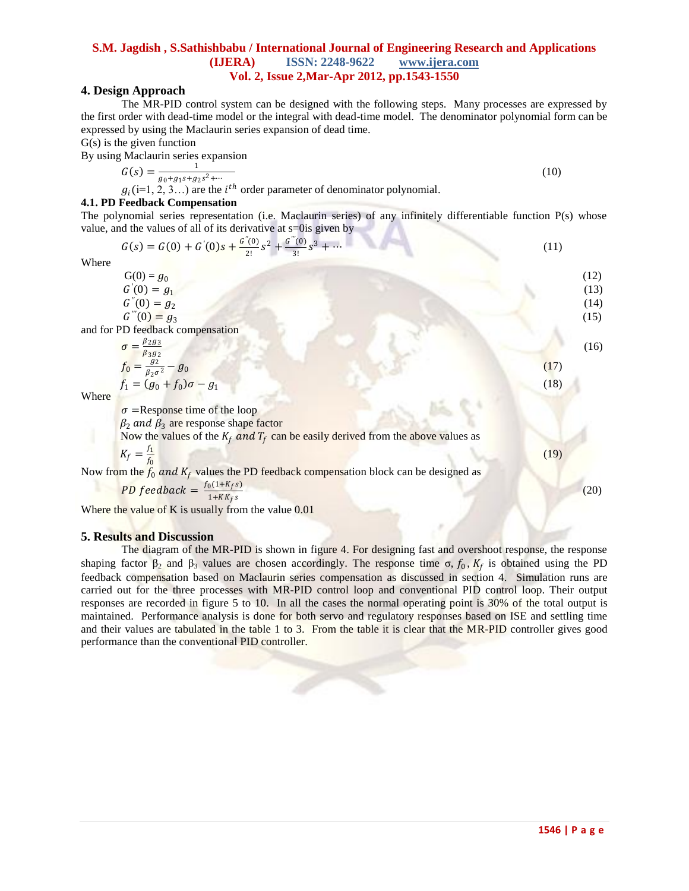# **4. Design Approach**

The MR-PID control system can be designed with the following steps. Many processes are expressed by the first order with dead-time model or the integral with dead-time model. The denominator polynomial form can be expressed by using the Maclaurin series expansion of dead time.

 $G(s)$  is the given function

By using Maclaurin series expansion

$$
G(s) = \frac{1}{g_0 + g_1 s + g_2 s^2 + \dotsb} \tag{10}
$$

 $g_i$ (i=1, 2, 3...) are the  $i^{th}$  order parameter of denominator polynomial.

## **4.1. PD Feedback Compensation**

The polynomial series representation (i.e. Maclaurin series) of any infinitely differentiable function P(s) whose value, and the values of all of its derivative at s=0is given by

$$
G(s) = G(0) + G'(0)s + \frac{G''(0)}{2!}s^2 + \frac{G'''(0)}{3!}s^3 + \cdots
$$
\n(11)

Where

| <i>v</i> ileit                                                                                                              |      |
|-----------------------------------------------------------------------------------------------------------------------------|------|
| $G(0) = g_0$                                                                                                                | (12) |
| $G'(0) = g_1$                                                                                                               | (13) |
| $G''(0) = g_2$                                                                                                              | (14) |
| $G'''(0) = g_3$                                                                                                             | (15) |
| and for PD feedback compensation                                                                                            |      |
| $\sigma = \frac{\beta_2 g_3}{\beta_3 g_2}$<br>$f_0 = \frac{g_2}{\beta_2 \sigma^2} - g_0$<br>$f_1 = (g_0 + f_0)\sigma - g_1$ | (16) |
|                                                                                                                             | (17) |
|                                                                                                                             | (18) |
| Where                                                                                                                       |      |
| $\sigma$ = Response time of the loop                                                                                        |      |
| $\beta_2$ and $\beta_3$ are response shape factor                                                                           |      |
| Now the values of the $K_f$ and $T_f$ can be easily derived from the above values as                                        |      |
| $K_f = \frac{f_1}{f_0}$                                                                                                     | (19) |
| Now from the $f_0$ and $K_f$ values the PD feedback compensation block can be designed as                                   |      |
| PD feedback = $\frac{f_0(1+K_f s)}{1+KK_f s}$                                                                               | (20) |
|                                                                                                                             |      |

Where the value of K is usually from the value 0.01

#### **5. Results and Discussion**

The diagram of the MR-PID is shown in figure 4. For designing fast and overshoot response, the response shaping factor  $\beta_2$  and  $\beta_3$  values are chosen accordingly. The response time  $\sigma$ ,  $f_0$ ,  $K_f$  is obtained using the PD feedback compensation based on Maclaurin series compensation as discussed in section 4. Simulation runs are carried out for the three processes with MR-PID control loop and conventional PID control loop. Their output responses are recorded in figure 5 to 10. In all the cases the normal operating point is 30% of the total output is maintained. Performance analysis is done for both servo and regulatory responses based on ISE and settling time and their values are tabulated in the table 1 to 3. From the table it is clear that the MR-PID controller gives good performance than the conventional PID controller.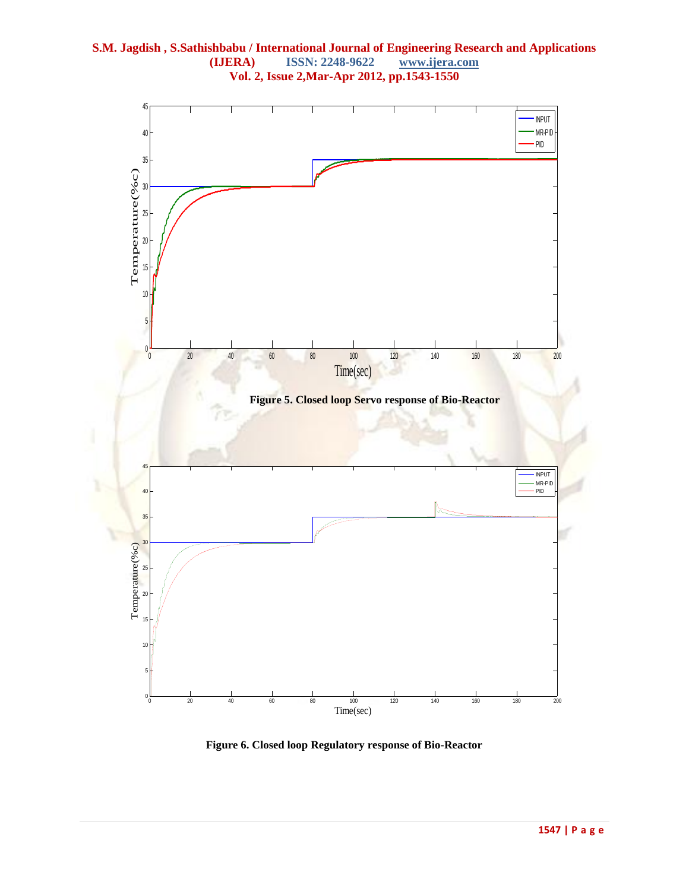

**Figure 6. Closed loop Regulatory response of Bio-Reactor**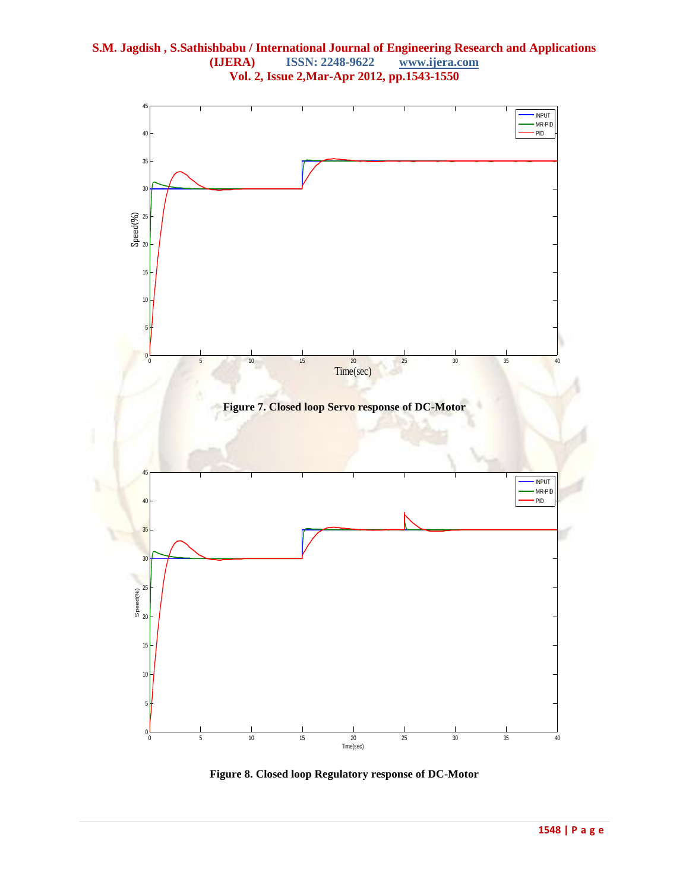

**Figure 8. Closed loop Regulatory response of DC-Motor**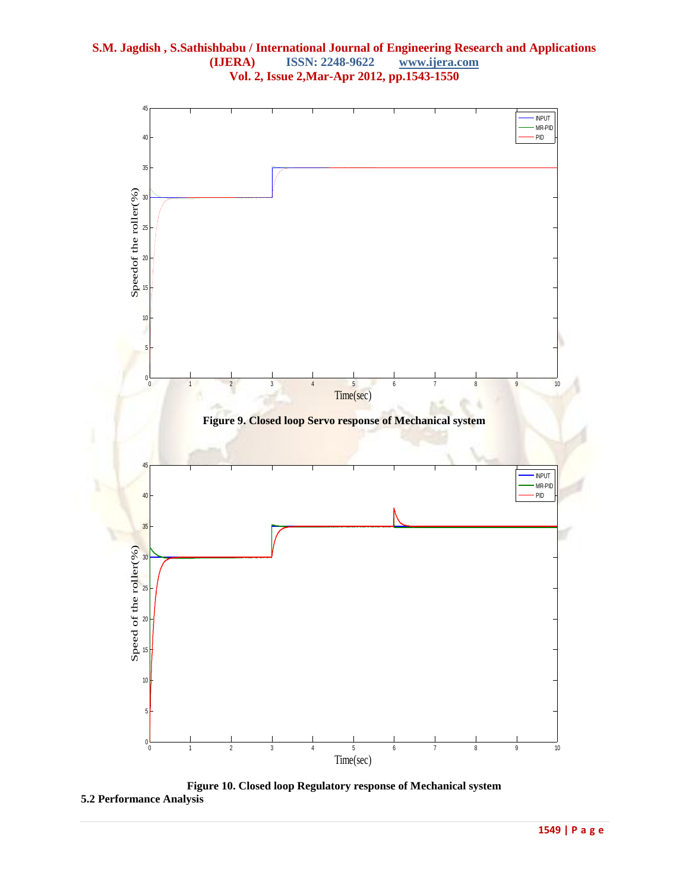

**Figure 10. Closed loop Regulatory response of Mechanical system 5.2 Performance Analysis**